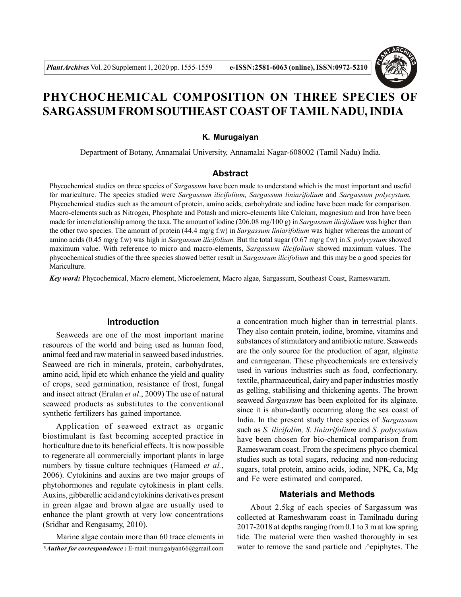

# **PHYCHOCHEMICAL COMPOSITION ON THREE SPECIES OF** SARGASSUM FROM SOUTHEAST COAST OF TAMIL NADU, INDIA

#### **K. Murugaiyan**

Department of Botany, Annamalai University, Annamalai Nagar-608002 (Tamil Nadu) India.

#### **Abstract**

Phycochemical studies on three species of *Sargassum* have been made to understand which is the most important and useful for mariculture. The species studied were *Sargassum ilicifolium, Sargassum liniarifolium* and *Sargassum polycystum.* Phycochemical studies such as the amount of protein, amino acids, carbohydrate and iodine have been made for comparison. Macro-elements such as Nitrogen, Phosphate and Potash and micro-elements like Calcium, magnesium and Iron have been made for interrelationship among the taxa. The amount of iodine (206.08 mg/100 g) in *Sargassum ilicifolium* was higher than the other two species. The amount of protein (44.4 mg/g f.w) in *Sargassum liniarifolium* was higher whereas the amount of amino acids (0.45 mg/g f.w) was high in *Sargassum ilicifolium.* But the total sugar (0.67 mg/g f.w) in *S. polycystum* showed maximum value. With reference to micro and macro-elements, *Sargassum ilicifolium* showed maximum values. The phycochemical studies of the three species showed better result in *Sargassum ilicifolium* and this may be a good species for Mariculture.

*Key word:* Phycochemical, Macro element, Microelement, Macro algae, Sargassum, Southeast Coast, Rameswaram.

#### **Introduction**

Seaweeds are one of the most important marine resources of the world and being used as human food, animal feed and raw material in seaweed based industries. Seaweed are rich in minerals, protein, carbohydrates, amino acid, lipid etc which enhance the yield and quality of crops, seed germination, resistance of frost, fungal and insect attract (Erulan *et al*., 2009) The use of natural seaweed products as substitutes to the conventional synthetic fertilizers has gained importance.

Application of seaweed extract as organic biostimulant is fast becoming accepted practice in horticulture due to its beneficial effects. It is now possible to regenerate all commercially important plants in large numbers by tissue culture techniques (Hameed *et al.*, 2006). Cytokinins and auxins are two major groups of phytohormones and regulate cytokinesis in plant cells. Auxins, gibberellic acid and cytokinins derivatives present in green algae and brown algae are usually used to enhance the plant growth at very low concentrations (Sridhar and Rengasamy, 2010).

Marine algae contain more than 60 trace elements in *\*Author for correspondence :* E-mail: murugaiyan66@gmail.com

a concentration much higher than in terrestrial plants. They also contain protein, iodine, bromine, vitamins and substances of stimulatory and antibiotic nature. Seaweeds are the only source for the production of agar, alginate and carrageenan. These phycochemicals are extensively used in various industries such as food, confectionary, textile, pharmaceutical, dairy and paper industries mostly as gelling, stabilising and thickening agents. The brown seaweed *Sargassum* has been exploited for its alginate, since it is abun-dantly occurring along the sea coast of India. In the present study three species of *Sargassum* such as *S. ilicifolim, S. liniarifolium* and *S. polycystum* have been chosen for bio-chemical comparison from Rameswaram coast. From the specimens phyco chemical studies such as total sugars, reducing and non-reducing sugars, total protein, amino acids, iodine, NPK, Ca, Mg and Fe were estimated and compared.

### **Materials and Methods**

About 2.5kg of each species of Sargassum was collected at Rameshwaram coast in Tamilnadu during 2017-2018 at depths ranging from 0.1 to 3 m at low spring tide. The material were then washed thoroughly in sea water to remove the sand particle and .^epiphytes. The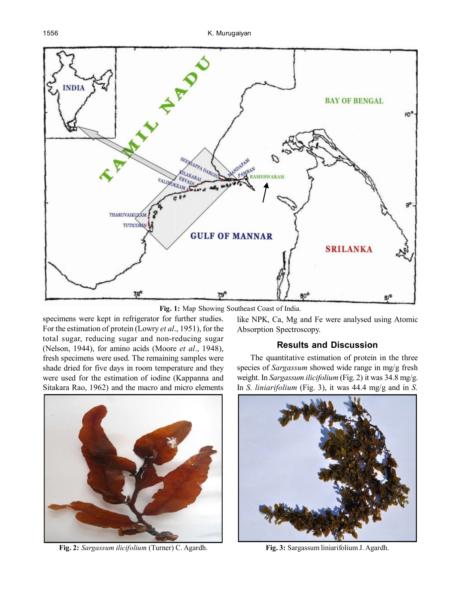

**Fig. 1:** Map Showing Southeast Coast of India.

specimens were kept in refrigerator for further studies. For the estimation of protein (Lowry *et al*., 1951), for the total sugar, reducing sugar and non-reducing sugar (Nelson, 1944), for amino acids (Moore *et al*., 1948), fresh specimens were used. The remaining samples were shade dried for five days in room temperature and they were used for the estimation of iodine (Kappanna and Sitakara Rao, 1962) and the macro and micro elements



**Fig. 2:** *Sargassum ilicifolium* (Turner) C. Agardh. **Fig. 3:** Sargassum liniarifolium J. Agardh.

like NPK, Ca, Mg and Fe were analysed using Atomic Absorption Spectroscopy.

# **Results and Discussion**

The quantitative estimation of protein in the three species of *Sargassum* showed wide range in mg/g fresh weight. In *Sargassum ilicifolium* (Fig. 2) it was 34.8 mg/g. In *S. liniarifolium* (Fig. 3), it was 44.4 mg/g and in *S.*

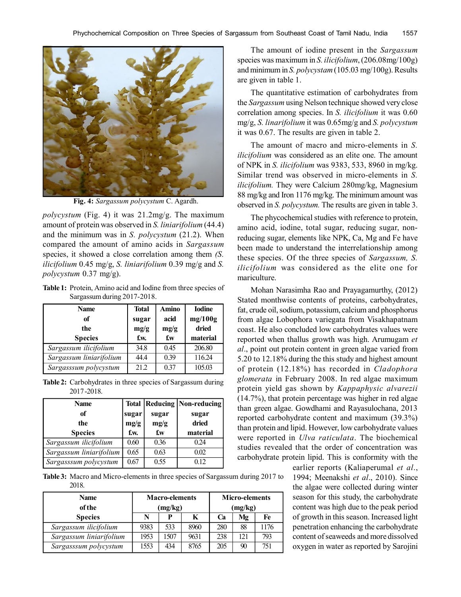

**Fig. 4:** *Sargassum polycystum* C. Agardh.

*polycystum* (Fig. 4) it was 21.2mg/g. The maximum amount of protein was observed in *S. liniarifolium* (44.4) and the minimum was in *S. polycystum* (21.2). When compared the amount of amino acids in *Sargassum* species, it showed a close correlation among them *(S. ilicifolium* 0.45 mg/g, *S. liniarifolium* 0.39 mg/g and *S. polycystum* 0.37 mg/g).

**Table 1:** Protein, Amino acid and Iodine from three species of Sargassum during 2017-2018.

| <b>Name</b>             | <b>Total</b> | Amino | <b>Iodine</b> |  |
|-------------------------|--------------|-------|---------------|--|
| of                      | sugar        | acid  | mg/100g       |  |
| the                     | mg/g         | mg/g  | dried         |  |
| <b>Species</b>          | f.w.         | f.w   | material      |  |
| Sargassum ilicifolium   | 34.8         | 0.45  | 206.80        |  |
| Sargassum liniarifolium | 44.4         | 0.39  | 116.24        |  |
| Sargasssum polycystum   | 21.2         | 0.37  | 105.03        |  |

**Table 2:** Carbohydrates in three species of Sargassum during 2017 -2018.

| <b>Name</b>             |       |       | <b>Total   Reducing   Non-reducing  </b> |
|-------------------------|-------|-------|------------------------------------------|
| of                      | sugar | sugar | sugar                                    |
| the                     | mg/g  | mg/g  | dried                                    |
| <b>Species</b>          | f.w.  | f.w   | material                                 |
| Sargassum ilicifolium   | 0.60  | 0.36  | 0.24                                     |
| Sargassum liniarifolium | 0.65  | 0.63  | 0.02                                     |
| Sargasssum polycystum   | 0.67  | 0.55  | 0.12                                     |

**Table 3:** Macro and Micro-elements in three species of Sargassum during 2017 to 2018.

| <b>Name</b><br><b>of the</b> | <b>Macro-elements</b><br>mg/kg) |      |      | <b>Micro-elements</b><br>(mg/kg) |     |      |
|------------------------------|---------------------------------|------|------|----------------------------------|-----|------|
| <b>Species</b>               | N                               | P    | K    | Cа                               | Mg  | Fe   |
| Sargassum ilicifolium        | 9383                            | 533  | 8960 | 280                              | 88  | 1176 |
| Sargassum liniarifolium      | 1953                            | 1507 | 9631 | 238                              | 121 | 793  |
| Sargasssum polycystum        | 1553                            | 434  | 8765 | 205                              | 90  | 751  |

The amount of iodine present in the *Sargassum* species was maximum in *S. ilicifolium*, (206.08mg/100g) and minimum in *S. polycystam* (105.03 mg/100g). Results are given in table 1.

The quantitative estimation of carbohydrates from the *Sargassum* using Nelson technique showed very close correlation among species. In *S. ilicifolium* it was 0.60 mg/g, *S. linarifolium* it was 0.65mg/g and *S. polycystum* it was 0.67. The results are given in table 2.

The amount of macro and micro-elements in *S*. *ilicifolium* was considered as an elite one. The amount of NPK in *S. ilicifolium* was 9383, 533, 8960 in mg/kg. Similar trend was observed in micro-elements in *S. ilicifolium.* They were Calcium 280mg/kg, Magnesium 88 mg/kg and Iron 1176 mg/kg. The minimum amount was observed in *S. polycystum.* The results are given in table 3.

The phycochemical studies with reference to protein, amino acid, iodine, total sugar, reducing sugar, nonreducing sugar, elements like NPK, Ca, Mg and Fe have been made to understand the interrelationship among these species. Of the three species of *Sargassum, S. ilicifolium* was considered as the elite one for mariculture.

Mohan Narasimha Rao and Prayagamurthy, (2012) Stated monthwise contents of proteins, carbohydrates, fat, crude oil, sodium, potassium, calcium and phosphorus from algae Lobophora variegata from Visakhapatnam coast. He also concluded low carbohydrates values were reported when thallus growth was high. Arumugam *et al*., point out protein content in green algae varied from 5.20 to 12.18% during the this study and highest amount of protein (12.18%) has recorded in *Cladophora glomerata* in February 2008. In red algae maximum protein yield gas shown by *Kappaphysic alvarezii* (14.7%), that protein percentage was higher in red algae than green algae. Gowdhami and Rayasulochana, 2013 reported carbohydrate content and maximum (39.3%) than protein and lipid. However, low carbohydrate values were reported in *Ulva raticulata*. The biochemical studies revealed that the order of concentration was carbohydrate protein lipid. This is conformity with the

> earlier reports (Kaliaperumal *et al*., 1994; Meenakshi *et al*., 2010). Since the algae were collected during winter season for this study, the carbohydrate content was high due to the peak period of growth in this season. Increased light penetration enhancing the carbohydrate content of seaweeds and more dissolved oxygen in water as reported by Sarojini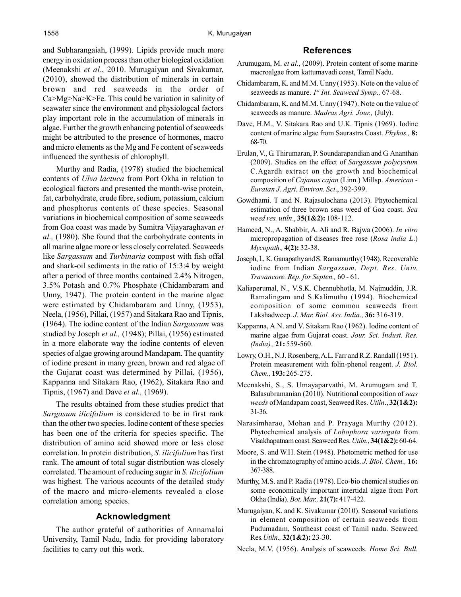and Subharangaiah, (1999). Lipids provide much more energy in oxidation process than other biological oxidation (Meenakshi *et al*., 2010. Murugaiyan and Sivakumar, (2010), showed the distribution of minerals in certain brown and red seaweeds in the order of Ca>Mg>Na>K>Fe. This could be variation in salinity of seawater since the environment and physiologcal factors play important role in the accumulation of minerals in algae. Further the growth enhancing potential of seaweeds might be attributed to the presence of hormones, macro and micro elements as the Mg and Fe content of seaweeds influenced the synthesis of chlorophyll.

Murthy and Radia, (1978) studied the biochemical contents of *Ulva lactuca* from Port Okha in relation to ecological factors and presented the month-wise protein, fat, carbohydrate, crude fibre, sodium, potassium, calcium and phosphorus contents of these species. Seasonal variations in biochemical composition of some seaweeds from Goa coast was made by Sumitra Vijayaraghavan *et al.,* (1980). She found that the carbohydrate contents in all marine algae more or less closely correlated. Seaweeds like *Sargassum* and *Turbinaria* compost with fish offal and shark-oil sediments in the ratio of 15:3:4 by weight after a period of three months contained 2.4% Nitrogen, 3.5% Potash and 0.7% Phosphate (Chidambaram and Unny, 1947). The protein content in the marine algae were estimated by Chidambaram and Unny, (1953), Neela, (1956), Pillai, (1957) and Sitakara Rao and Tipnis, (1964). The iodine content of the Indian *Sargassum* was studied by Joseph *et al.,* (1948); Pillai, (1956) estimated in a more elaborate way the iodine contents of eleven species of algae growing around Mandapam. The quantity of iodine present in many green, brown and red algae of the Gujarat coast was determined by Pillai, (1956), Kappanna and Sitakara Rao, (1962), Sitakara Rao and Tipnis, (1967) and Dave *et al.,* (1969).

The results obtained from these studies predict that *Sargasum ilicifolium* is considered to be in first rank than the other two species. Iodine content of these species has been one of the criteria for species specific. The distribution of amino acid showed more or less close correlation. In protein distribution, *S. ilicifolium* has first rank. The amount of total sugar distribution was closely correlated. The amount of reducing sugar in *S. ilicifolium* was highest. The various accounts of the detailed study of the macro and micro-elements revealed a close correlation among species.

## **Acknowledgment**

The author grateful of authorities of Annamalai University, Tamil Nadu, India for providing laboratory facilities to carry out this work.

# **References**

- Arumugam, M. *et al*., (2009). Protein content of some marine macroalgae from kattumavadi coast, Tamil Nadu.
- Chidambaram, K. and M.M. Unny (1953). Note on the value of seaweeds as manure. *1 st Int. Seaweed Symp.,* 67-68.
- Chidambaram, K. and M.M. Unny (1947). Note on the value of seaweeds as manure. *Madras Agri. Jour.,* (July).
- Dave, H.M., V. Sitakara Rao and U.K. Tipnis (1969). Iodine content of marine algae from Saurastra Coast. *Phykos.,* **8:** 68-70.
- Erulan, V., G. Thirumaran, P. Soundarapandian and G. Ananthan (2009). Studies on the effect of *Sargassum polycystum* C.Agardh extract on the growth and biochemical composition of *Cajanus cajan* (Linn.) Millsp. *American - Euraian J. Agri. Environ. Sci*., 392-399.
- Gowdhami. T and N. Rajasulochana (2013). Phytochemical estimation of three brown seas weed of Goa coast. *Sea weed res. utiln*., **35(1&2):** 108-112.
- Hameed, N., A. Shabbir, A. Ali and R. Bajwa (2006). *In vitro* micropropagation of diseases free rose (*Rosa india L*.) *Mycopath.,* **4(2):** 32-38.
- Joseph, I., K. Ganapathy and S. Ramamurthy (1948). Recoverable iodine from Indian *Sargassum. Dept. Res. Univ. Travancore. Rep. for Septen.,* 60 - 61.
- Kaliaperumal, N., V.S.K. Chennubhotla, M. Najmuddin, J.R. Ramalingam and S.Kalimuthu (1994). Biochemical composition of some common seaweeds from Lakshadweep. *J*. *Mar. Biol. Ass. India.,* **36:** 316-319.
- Kappanna, A.N. and V. Sitakara Rao (1962). Iodine content of marine algae from Gujarat coast. *Jour. Sci. Indust. Res. (India).,* **21:** 559-560.
- Lowry, O.H., N.J. Rosenberg, A.L. Farr and R.Z. Randall (1951). Protein measurement with folin-phenol reagent. *J. Biol. Chem.,* **193:** 265-275.
- Meenakshi, S., S. Umayaparvathi, M. Arumugam and T. Balasubramanian (2010). Nutritional composition of *seas weeds* of Mandapam coast, Seaweed Res. *Utiln*., **32(1&2):** 31-36.
- Narasimharao, Mohan and P. Prayaga Murthy (2012). Phytochemical analysis of *Lobophora variegata* from Visakhapatnam coast. Seaweed Res. *Utiln*., **34(1&2):** 60-64.
- Moore, S. and W.H. Stein (1948). Photometric method for use in the chromatography of amino acids. *J. Biol. Chem.,* **16:** 367-388.
- Murthy, M.S. and P. Radia (1978). Eco-bio chemical studies on some economically important intertidal algae from Port Okha (India). *Bot. Mar.,* **21(7):** 417-422.
- Murugaiyan, K. and K. Sivakumar (2010). Seasonal variations in element composition of certain seaweeds from Pudumadam, Southeast coast of Tamil nadu. Seaweed Res*.Utiln.,* **32(1&2):** 23-30.
- Neela, M.V. (1956). Analysis of seaweeds. *Home Sci. Bull.*